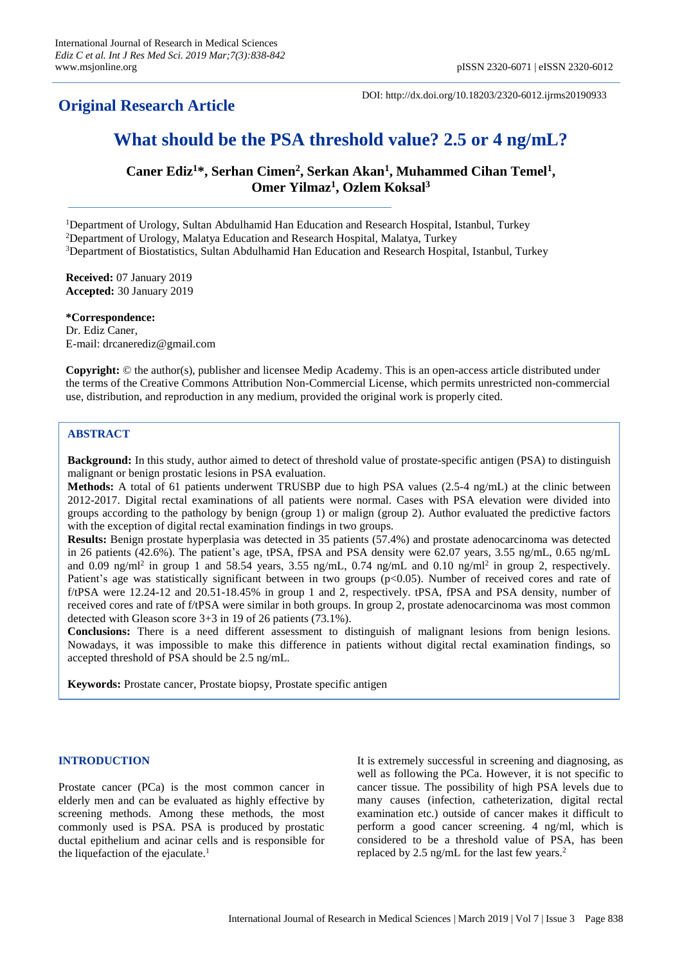# **Original Research Article**

DOI: http://dx.doi.org/10.18203/2320-6012.ijrms20190933

# **What should be the PSA threshold value? 2.5 or 4 ng/mL?**

**Caner Ediz<sup>1</sup>\*, Serhan Cimen<sup>2</sup> , Serkan Akan<sup>1</sup> , Muhammed Cihan Temel<sup>1</sup> , Omer Yilmaz<sup>1</sup> , Ozlem Koksal<sup>3</sup>**

<sup>1</sup>Department of Urology, Sultan Abdulhamid Han Education and Research Hospital, Istanbul, Turkey <sup>2</sup>Department of Urology, Malatya Education and Research Hospital, Malatya, Turkey

<sup>3</sup>Department of Biostatistics, Sultan Abdulhamid Han Education and Research Hospital, Istanbul, Turkey

**Received:** 07 January 2019 **Accepted:** 30 January 2019

**\*Correspondence:** Dr. Ediz Caner, E-mail: drcanerediz@gmail.com

**Copyright:** © the author(s), publisher and licensee Medip Academy. This is an open-access article distributed under the terms of the Creative Commons Attribution Non-Commercial License, which permits unrestricted non-commercial use, distribution, and reproduction in any medium, provided the original work is properly cited.

# **ABSTRACT**

**Background:** In this study, author aimed to detect of threshold value of prostate-specific antigen (PSA) to distinguish malignant or benign prostatic lesions in PSA evaluation.

**Methods:** A total of 61 patients underwent TRUSBP due to high PSA values (2.5-4 ng/mL) at the clinic between 2012-2017. Digital rectal examinations of all patients were normal. Cases with PSA elevation were divided into groups according to the pathology by benign (group 1) or malign (group 2). Author evaluated the predictive factors with the exception of digital rectal examination findings in two groups.

**Results:** Benign prostate hyperplasia was detected in 35 patients (57.4%) and prostate adenocarcinoma was detected in 26 patients (42.6%). The patient's age, tPSA, fPSA and PSA density were 62.07 years, 3.55 ng/mL, 0.65 ng/mL and 0.09 ng/ml<sup>2</sup> in group 1 and 58.54 years, 3.55 ng/mL, 0.74 ng/mL and 0.10 ng/ml<sup>2</sup> in group 2, respectively. Patient's age was statistically significant between in two groups (p<0.05). Number of received cores and rate of f/tPSA were 12.24-12 and 20.51-18.45% in group 1 and 2, respectively. tPSA, fPSA and PSA density, number of received cores and rate of f/tPSA were similar in both groups. In group 2, prostate adenocarcinoma was most common detected with Gleason score 3+3 in 19 of 26 patients (73.1%).

**Conclusions:** There is a need different assessment to distinguish of malignant lesions from benign lesions. Nowadays, it was impossible to make this difference in patients without digital rectal examination findings, so accepted threshold of PSA should be 2.5 ng/mL.

**Keywords:** Prostate cancer, Prostate biopsy, Prostate specific antigen

# **INTRODUCTION**

Prostate cancer (PCa) is the most common cancer in elderly men and can be evaluated as highly effective by screening methods. Among these methods, the most commonly used is PSA. PSA is produced by prostatic ductal epithelium and acinar cells and is responsible for the liquefaction of the ejaculate. 1

It is extremely successful in screening and diagnosing, as well as following the PCa. However, it is not specific to cancer tissue. The possibility of high PSA levels due to many causes (infection, catheterization, digital rectal examination etc.) outside of cancer makes it difficult to perform a good cancer screening. 4 ng/ml, which is considered to be a threshold value of PSA, has been replaced by 2.5 ng/mL for the last few years. 2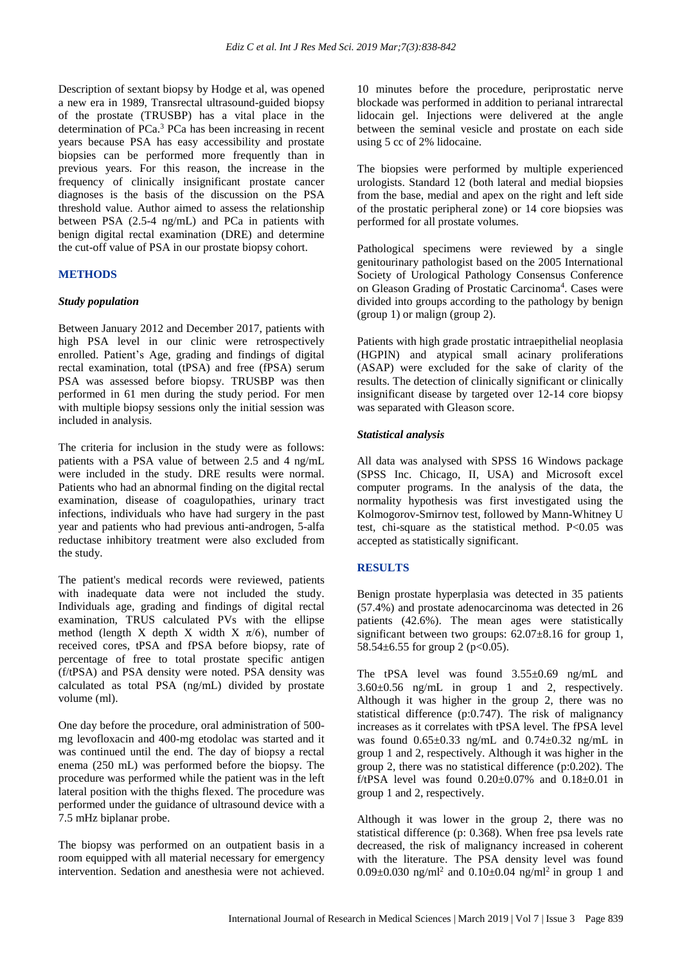Description of sextant biopsy by Hodge et al, was opened a new era in 1989, Transrectal ultrasound-guided biopsy of the prostate (TRUSBP) has a vital place in the determination of PCa. <sup>3</sup> PCa has been increasing in recent years because PSA has easy accessibility and prostate biopsies can be performed more frequently than in previous years. For this reason, the increase in the frequency of clinically insignificant prostate cancer diagnoses is the basis of the discussion on the PSA threshold value. Author aimed to assess the relationship between PSA (2.5-4 ng/mL) and PCa in patients with benign digital rectal examination (DRE) and determine the cut-off value of PSA in our prostate biopsy cohort.

# **METHODS**

#### *Study population*

Between January 2012 and December 2017, patients with high PSA level in our clinic were retrospectively enrolled. Patient's Age, grading and findings of digital rectal examination, total (tPSA) and free (fPSA) serum PSA was assessed before biopsy. TRUSBP was then performed in 61 men during the study period. For men with multiple biopsy sessions only the initial session was included in analysis.

The criteria for inclusion in the study were as follows: patients with a PSA value of between 2.5 and 4 ng/mL were included in the study. DRE results were normal. Patients who had an abnormal finding on the digital rectal examination, disease of coagulopathies, urinary tract infections, individuals who have had surgery in the past year and patients who had previous anti-androgen, 5-alfa reductase inhibitory treatment were also excluded from the study.

The patient's medical records were reviewed, patients with inadequate data were not included the study. Individuals age, grading and findings of digital rectal examination, TRUS calculated PVs with the ellipse method (length X depth X width X  $\pi/6$ ), number of received cores, tPSA and fPSA before biopsy, rate of percentage of free to total prostate specific antigen (f/tPSA) and PSA density were noted. PSA density was calculated as total PSA (ng/mL) divided by prostate volume (ml).

One day before the procedure, oral administration of 500 mg levofloxacin and 400-mg etodolac was started and it was continued until the end. The day of biopsy a rectal enema (250 mL) was performed before the biopsy. The procedure was performed while the patient was in the left lateral position with the thighs flexed. The procedure was performed under the guidance of ultrasound device with a 7.5 mHz biplanar probe.

The biopsy was performed on an outpatient basis in a room equipped with all material necessary for emergency intervention. Sedation and anesthesia were not achieved.

10 minutes before the procedure, periprostatic nerve blockade was performed in addition to perianal intrarectal lidocain gel. Injections were delivered at the angle between the seminal vesicle and prostate on each side using 5 cc of 2% lidocaine.

The biopsies were performed by multiple experienced urologists. Standard 12 (both lateral and medial biopsies from the base, medial and apex on the right and left side of the prostatic peripheral zone) or 14 core biopsies was performed for all prostate volumes.

Pathological specimens were reviewed by a single genitourinary pathologist based on the 2005 International Society of Urological Pathology Consensus Conference on Gleason Grading of Prostatic Carcinoma<sup>4</sup>. Cases were divided into groups according to the pathology by benign (group 1) or malign (group 2).

Patients with high grade prostatic intraepithelial neoplasia (HGPIN) and atypical small acinary proliferations (ASAP) were excluded for the sake of clarity of the results. The detection of clinically significant or clinically insignificant disease by targeted over 12-14 core biopsy was separated with Gleason score.

### *Statistical analysis*

All data was analysed with SPSS 16 Windows package (SPSS Inc. Chicago, II, USA) and Microsoft excel computer programs. In the analysis of the data, the normality hypothesis was first investigated using the Kolmogorov-Smirnov test, followed by Mann-Whitney U test, chi-square as the statistical method. P<0.05 was accepted as statistically significant.

### **RESULTS**

Benign prostate hyperplasia was detected in 35 patients (57.4%) and prostate adenocarcinoma was detected in 26 patients (42.6%). The mean ages were statistically significant between two groups:  $62.07 \pm 8.16$  for group 1, 58.54 $\pm$ 6.55 for group 2 (p<0.05).

The tPSA level was found 3.55±0.69 ng/mL and 3.60±0.56 ng/mL in group 1 and 2, respectively. Although it was higher in the group 2, there was no statistical difference (p:0.747). The risk of malignancy increases as it correlates with tPSA level. The fPSA level was found  $0.65 \pm 0.33$  ng/mL and  $0.74 \pm 0.32$  ng/mL in group 1 and 2, respectively. Although it was higher in the group 2, there was no statistical difference (p:0.202). The f/tPSA level was found  $0.20 \pm 0.07\%$  and  $0.18 \pm 0.01$  in group 1 and 2, respectively.

Although it was lower in the group 2, there was no statistical difference (p: 0.368). When free psa levels rate decreased, the risk of malignancy increased in coherent with the literature. The PSA density level was found 0.09 $\pm$ 0.030 ng/ml<sup>2</sup> and 0.10 $\pm$ 0.04 ng/ml<sup>2</sup> in group 1 and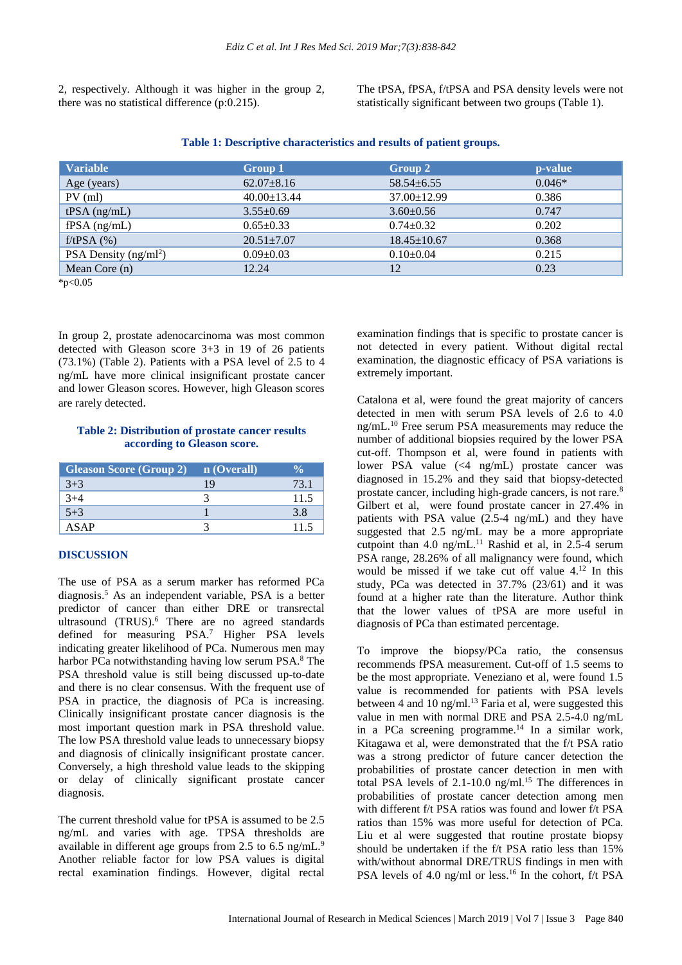2, respectively. Although it was higher in the group 2, there was no statistical difference (p:0.215).

The tPSA, fPSA, f/tPSA and PSA density levels were not statistically significant between two groups (Table 1).

| <b>Variable</b>         | Group 1           | Group 2           | p-value  |
|-------------------------|-------------------|-------------------|----------|
| Age (years)             | $62.07 \pm 8.16$  | $58.54 \pm 6.55$  | $0.046*$ |
| $PV$ (ml)               | $40.00 \pm 13.44$ | $37.00 \pm 12.99$ | 0.386    |
| $tPSA$ (ng/mL)          | $3.55 \pm 0.69$   | $3.60 \pm 0.56$   | 0.747    |
| $fPSA$ (ng/mL)          | $0.65 \pm 0.33$   | $0.74 \pm 0.32$   | 0.202    |
| $f$ /tPSA $(%)$         | $20.51 + 7.07$    | $18.45 \pm 10.67$ | 0.368    |
| PSA Density $(ng/ml^2)$ | $0.09 \pm 0.03$   | $0.10 \pm 0.04$   | 0.215    |
| Mean Core $(n)$         | 12.24             | 12                | 0.23     |

#### **Table 1: Descriptive characteristics and results of patient groups.**

\*p<0.05

In group 2, prostate adenocarcinoma was most common detected with Gleason score 3+3 in 19 of 26 patients (73.1%) (Table 2). Patients with a PSA level of 2.5 to 4 ng/mL have more clinical insignificant prostate cancer and lower Gleason scores. However, high Gleason scores are rarely detected.

#### **Table 2: Distribution of prostate cancer results according to Gleason score.**

| Gleason Score (Group 2) n (Overall) |    |      |
|-------------------------------------|----|------|
| $3+3$                               | 19 | 73.1 |
| 4∔'                                 |    | 11.5 |
| $5 + 3$                             |    | 3.8  |
| ASAP                                |    |      |

### **DISCUSSION**

The use of PSA as a serum marker has reformed PCa diagnosis. <sup>5</sup> As an independent variable, PSA is a better predictor of cancer than either DRE or transrectal ultrasound (TRUS). <sup>6</sup> There are no agreed standards defined for measuring PSA. <sup>7</sup> Higher PSA levels indicating greater likelihood of PCa. Numerous men may harbor PCa notwithstanding having low serum PSA.<sup>8</sup> The PSA threshold value is still being discussed up-to-date and there is no clear consensus. With the frequent use of PSA in practice, the diagnosis of PCa is increasing. Clinically insignificant prostate cancer diagnosis is the most important question mark in PSA threshold value. The low PSA threshold value leads to unnecessary biopsy and diagnosis of clinically insignificant prostate cancer. Conversely, a high threshold value leads to the skipping or delay of clinically significant prostate cancer diagnosis.

The current threshold value for tPSA is assumed to be 2.5 ng/mL and varies with age. TPSA thresholds are available in different age groups from 2.5 to 6.5 ng/mL.<sup>9</sup> Another reliable factor for low PSA values is digital rectal examination findings. However, digital rectal examination findings that is specific to prostate cancer is not detected in every patient. Without digital rectal examination, the diagnostic efficacy of PSA variations is extremely important.

Catalona et al, were found the great majority of cancers detected in men with serum PSA levels of 2.6 to 4.0 ng/mL.<sup>10</sup> Free serum PSA measurements may reduce the number of additional biopsies required by the lower PSA cut-off. Thompson et al, were found in patients with lower PSA value (<4 ng/mL) prostate cancer was diagnosed in 15.2% and they said that biopsy-detected prostate cancer, including high-grade cancers, is not rare.<sup>8</sup> Gilbert et al, were found prostate cancer in 27.4% in patients with PSA value (2.5-4 ng/mL) and they have suggested that 2.5 ng/mL may be a more appropriate cutpoint than 4.0 ng/mL $^{11}$  Rashid et al, in 2.5-4 serum PSA range, 28.26% of all malignancy were found, which would be missed if we take cut off value 4.<sup>12</sup> In this study, PCa was detected in 37.7% (23/61) and it was found at a higher rate than the literature. Author think that the lower values of tPSA are more useful in diagnosis of PCa than estimated percentage.

To improve the biopsy/PCa ratio, the consensus recommends fPSA measurement. Cut-off of 1.5 seems to be the most appropriate. Veneziano et al, were found 1.5 value is recommended for patients with PSA levels between 4 and 10 ng/ml.<sup>13</sup> Faria et al, were suggested this value in men with normal DRE and PSA 2.5-4.0 ng/mL in a PCa screening programme.<sup>14</sup> In a similar work, Kitagawa et al, were demonstrated that the f/t PSA ratio was a strong predictor of future cancer detection the probabilities of prostate cancer detection in men with total PSA levels of  $2.1$ -10.0 ng/ml.<sup>15</sup> The differences in probabilities of prostate cancer detection among men with different f/t PSA ratios was found and lower f/t PSA ratios than 15% was more useful for detection of PCa. Liu et al were suggested that routine prostate biopsy should be undertaken if the f/t PSA ratio less than 15% with/without abnormal DRE/TRUS findings in men with PSA levels of 4.0 ng/ml or less.<sup>16</sup> In the cohort, f/t PSA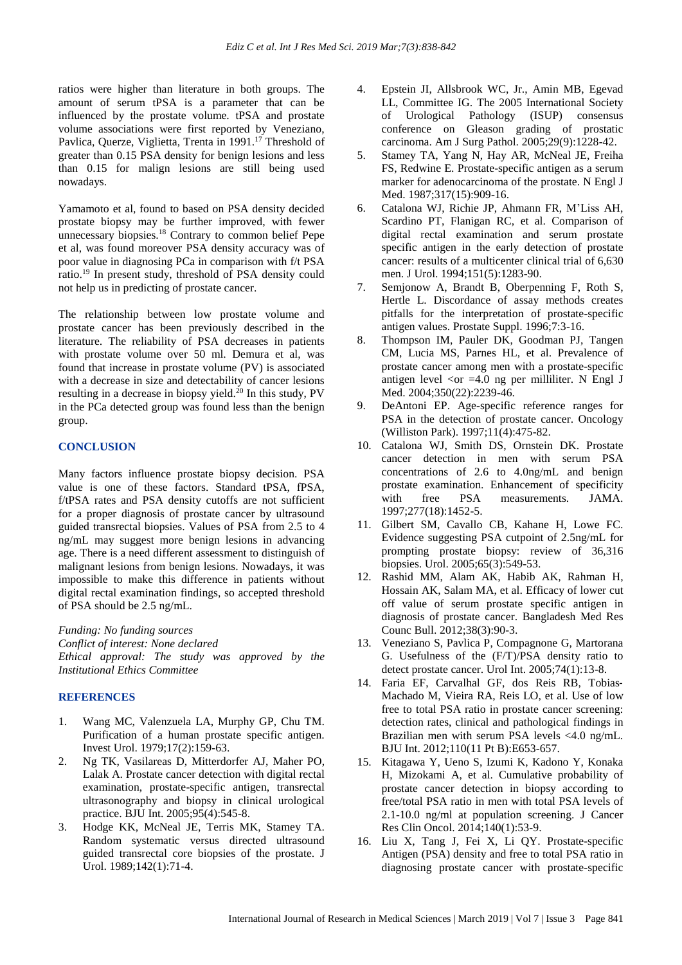ratios were higher than literature in both groups. The amount of serum tPSA is a parameter that can be influenced by the prostate volume. tPSA and prostate volume associations were first reported by Veneziano, Pavlica, Querze, Viglietta, Trenta in 1991.<sup>17</sup> Threshold of greater than 0.15 PSA density for benign lesions and less than 0.15 for malign lesions are still being used nowadays.

Yamamoto et al, found to based on PSA density decided prostate biopsy may be further improved, with fewer unnecessary biopsies.<sup>18</sup> Contrary to common belief Pepe et al, was found moreover PSA density accuracy was of poor value in diagnosing PCa in comparison with f/t PSA ratio.<sup>19</sup> In present study, threshold of PSA density could not help us in predicting of prostate cancer.

The relationship between low prostate volume and prostate cancer has been previously described in the literature. The reliability of PSA decreases in patients with prostate volume over 50 ml. Demura et al, was found that increase in prostate volume (PV) is associated with a decrease in size and detectability of cancer lesions resulting in a decrease in biopsy yield.<sup>20</sup> In this study, PV in the PCa detected group was found less than the benign group.

#### **CONCLUSION**

Many factors influence prostate biopsy decision. PSA value is one of these factors. Standard tPSA, fPSA, f/tPSA rates and PSA density cutoffs are not sufficient for a proper diagnosis of prostate cancer by ultrasound guided transrectal biopsies. Values of PSA from 2.5 to 4 ng/mL may suggest more benign lesions in advancing age. There is a need different assessment to distinguish of malignant lesions from benign lesions. Nowadays, it was impossible to make this difference in patients without digital rectal examination findings, so accepted threshold of PSA should be 2.5 ng/mL.

*Funding: No funding sources Conflict of interest: None declared Ethical approval: The study was approved by the Institutional Ethics Committee*

#### **REFERENCES**

- 1. Wang MC, Valenzuela LA, Murphy GP, Chu TM. Purification of a human prostate specific antigen. Invest Urol. 1979;17(2):159-63.
- 2. Ng TK, Vasilareas D, Mitterdorfer AJ, Maher PO, Lalak A. Prostate cancer detection with digital rectal examination, prostate-specific antigen, transrectal ultrasonography and biopsy in clinical urological practice. BJU Int. 2005;95(4):545-8.
- 3. Hodge KK, McNeal JE, Terris MK, Stamey TA. Random systematic versus directed ultrasound guided transrectal core biopsies of the prostate. J Urol. 1989;142(1):71-4.
- 4. Epstein JI, Allsbrook WC, Jr., Amin MB, Egevad LL, Committee IG. The 2005 International Society of Urological Pathology (ISUP) consensus conference on Gleason grading of prostatic carcinoma. Am J Surg Pathol. 2005;29(9):1228-42.
- 5. Stamey TA, Yang N, Hay AR, McNeal JE, Freiha FS, Redwine E. Prostate-specific antigen as a serum marker for adenocarcinoma of the prostate. N Engl J Med. 1987;317(15):909-16.
- 6. Catalona WJ, Richie JP, Ahmann FR, M'Liss AH, Scardino PT, Flanigan RC, et al. Comparison of digital rectal examination and serum prostate specific antigen in the early detection of prostate cancer: results of a multicenter clinical trial of 6,630 men. J Urol. 1994;151(5):1283-90.
- 7. Semjonow A, Brandt B, Oberpenning F, Roth S, Hertle L. Discordance of assay methods creates pitfalls for the interpretation of prostate-specific antigen values. Prostate Suppl. 1996;7:3-16.
- 8. Thompson IM, Pauler DK, Goodman PJ, Tangen CM, Lucia MS, Parnes HL, et al. Prevalence of prostate cancer among men with a prostate-specific antigen level  $\langle$ or =4.0 ng per milliliter. N Engl J Med. 2004;350(22):2239-46.
- 9. DeAntoni EP. Age-specific reference ranges for PSA in the detection of prostate cancer. Oncology (Williston Park). 1997;11(4):475-82.
- 10. Catalona WJ, Smith DS, Ornstein DK. Prostate cancer detection in men with serum PSA concentrations of 2.6 to 4.0ng/mL and benign prostate examination. Enhancement of specificity with free PSA measurements. JAMA. 1997;277(18):1452-5.
- 11. Gilbert SM, Cavallo CB, Kahane H, Lowe FC. Evidence suggesting PSA cutpoint of 2.5ng/mL for prompting prostate biopsy: review of 36,316 biopsies. Urol. 2005;65(3):549-53.
- 12. Rashid MM, Alam AK, Habib AK, Rahman H, Hossain AK, Salam MA, et al. Efficacy of lower cut off value of serum prostate specific antigen in diagnosis of prostate cancer. Bangladesh Med Res Counc Bull. 2012;38(3):90-3.
- 13. Veneziano S, Pavlica P, Compagnone G, Martorana G. Usefulness of the (F/T)/PSA density ratio to detect prostate cancer. Urol Int. 2005;74(1):13-8.
- 14. Faria EF, Carvalhal GF, dos Reis RB, Tobias‐ Machado M, Vieira RA, Reis LO, et al. Use of low free to total PSA ratio in prostate cancer screening: detection rates, clinical and pathological findings in Brazilian men with serum PSA levels <4.0 ng/mL. BJU Int. 2012;110(11 Pt B):E653-657.
- 15. Kitagawa Y, Ueno S, Izumi K, Kadono Y, Konaka H, Mizokami A, et al. Cumulative probability of prostate cancer detection in biopsy according to free/total PSA ratio in men with total PSA levels of 2.1-10.0 ng/ml at population screening. J Cancer Res Clin Oncol. 2014;140(1):53-9.
- 16. Liu X, Tang J, Fei X, Li QY. Prostate-specific Antigen (PSA) density and free to total PSA ratio in diagnosing prostate cancer with prostate-specific